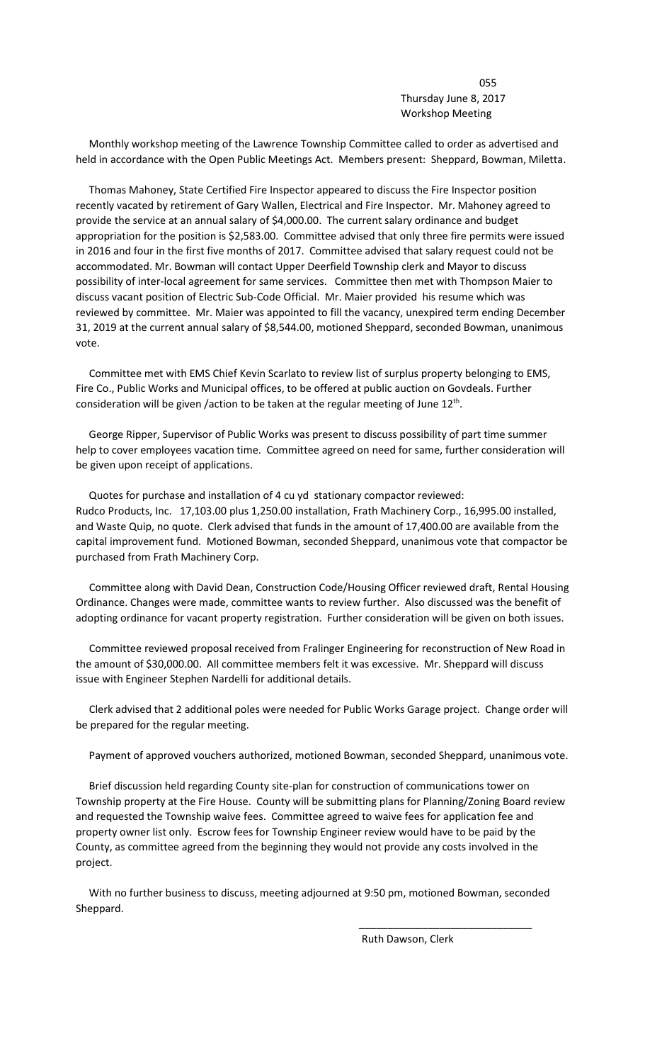<u>055 and the contract of the contract of the contract of the contract of the contract of the contract of the con</u> Thursday June 8, 2017 Workshop Meeting

 Monthly workshop meeting of the Lawrence Township Committee called to order as advertised and held in accordance with the Open Public Meetings Act. Members present: Sheppard, Bowman, Miletta.

 Thomas Mahoney, State Certified Fire Inspector appeared to discuss the Fire Inspector position recently vacated by retirement of Gary Wallen, Electrical and Fire Inspector. Mr. Mahoney agreed to provide the service at an annual salary of \$4,000.00. The current salary ordinance and budget appropriation for the position is \$2,583.00. Committee advised that only three fire permits were issued in 2016 and four in the first five months of 2017. Committee advised that salary request could not be accommodated. Mr. Bowman will contact Upper Deerfield Township clerk and Mayor to discuss possibility of inter-local agreement for same services. Committee then met with Thompson Maier to discuss vacant position of Electric Sub-Code Official. Mr. Maier provided his resume which was reviewed by committee. Mr. Maier was appointed to fill the vacancy, unexpired term ending December 31, 2019 at the current annual salary of \$8,544.00, motioned Sheppard, seconded Bowman, unanimous vote.

 Committee met with EMS Chief Kevin Scarlato to review list of surplus property belonging to EMS, Fire Co., Public Works and Municipal offices, to be offered at public auction on Govdeals. Further consideration will be given /action to be taken at the regular meeting of June 12<sup>th</sup>.

 George Ripper, Supervisor of Public Works was present to discuss possibility of part time summer help to cover employees vacation time. Committee agreed on need for same, further consideration will be given upon receipt of applications.

 Quotes for purchase and installation of 4 cu yd stationary compactor reviewed: Rudco Products, Inc. 17,103.00 plus 1,250.00 installation, Frath Machinery Corp., 16,995.00 installed, and Waste Quip, no quote. Clerk advised that funds in the amount of 17,400.00 are available from the capital improvement fund. Motioned Bowman, seconded Sheppard, unanimous vote that compactor be purchased from Frath Machinery Corp.

 Committee along with David Dean, Construction Code/Housing Officer reviewed draft, Rental Housing Ordinance. Changes were made, committee wants to review further. Also discussed was the benefit of adopting ordinance for vacant property registration. Further consideration will be given on both issues.

 Committee reviewed proposal received from Fralinger Engineering for reconstruction of New Road in the amount of \$30,000.00. All committee members felt it was excessive. Mr. Sheppard will discuss issue with Engineer Stephen Nardelli for additional details.

 Clerk advised that 2 additional poles were needed for Public Works Garage project. Change order will be prepared for the regular meeting.

Payment of approved vouchers authorized, motioned Bowman, seconded Sheppard, unanimous vote.

 Brief discussion held regarding County site-plan for construction of communications tower on Township property at the Fire House. County will be submitting plans for Planning/Zoning Board review and requested the Township waive fees. Committee agreed to waive fees for application fee and property owner list only. Escrow fees for Township Engineer review would have to be paid by the County, as committee agreed from the beginning they would not provide any costs involved in the project.

 With no further business to discuss, meeting adjourned at 9:50 pm, motioned Bowman, seconded Sheppard.

 $\overline{\phantom{a}}$  , and the contract of the contract of the contract of the contract of the contract of the contract of the contract of the contract of the contract of the contract of the contract of the contract of the contrac

Ruth Dawson, Clerk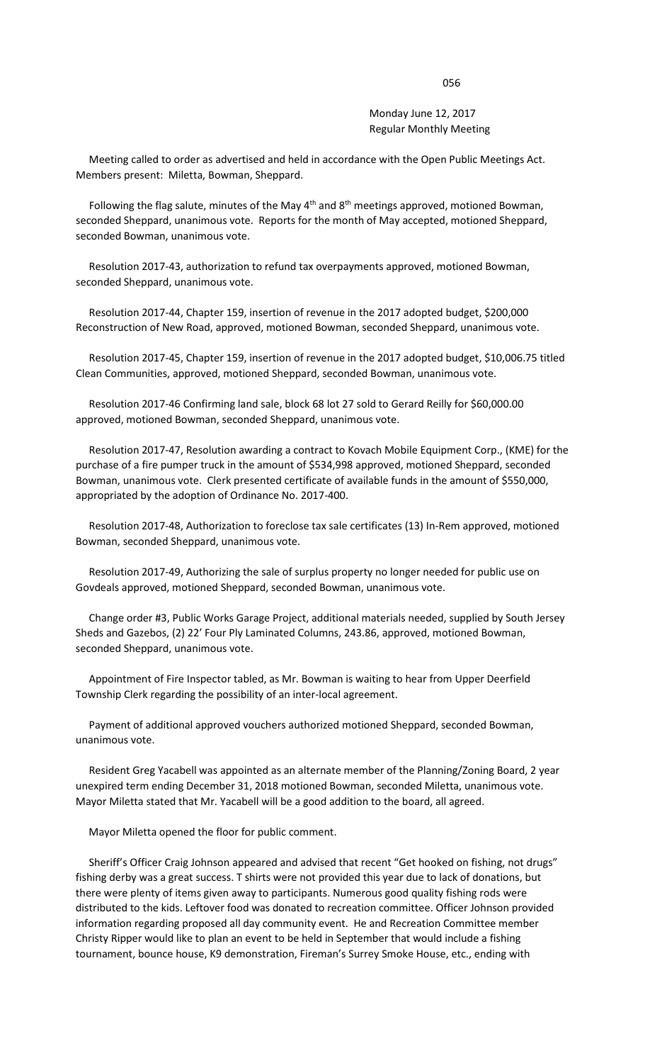Monday June 12, 2017 Regular Monthly Meeting

 Meeting called to order as advertised and held in accordance with the Open Public Meetings Act. Members present: Miletta, Bowman, Sheppard.

Following the flag salute, minutes of the May  $4<sup>th</sup>$  and  $8<sup>th</sup>$  meetings approved, motioned Bowman, seconded Sheppard, unanimous vote. Reports for the month of May accepted, motioned Sheppard, seconded Bowman, unanimous vote.

 Resolution 2017-43, authorization to refund tax overpayments approved, motioned Bowman, seconded Sheppard, unanimous vote.

 Resolution 2017-44, Chapter 159, insertion of revenue in the 2017 adopted budget, \$200,000 Reconstruction of New Road, approved, motioned Bowman, seconded Sheppard, unanimous vote.

 Resolution 2017-45, Chapter 159, insertion of revenue in the 2017 adopted budget, \$10,006.75 titled Clean Communities, approved, motioned Sheppard, seconded Bowman, unanimous vote.

 Resolution 2017-46 Confirming land sale, block 68 lot 27 sold to Gerard Reilly for \$60,000.00 approved, motioned Bowman, seconded Sheppard, unanimous vote.

 Resolution 2017-47, Resolution awarding a contract to Kovach Mobile Equipment Corp., (KME) for the purchase of a fire pumper truck in the amount of \$534,998 approved, motioned Sheppard, seconded Bowman, unanimous vote. Clerk presented certificate of available funds in the amount of \$550,000, appropriated by the adoption of Ordinance No. 2017-400.

 Resolution 2017-48, Authorization to foreclose tax sale certificates (13) In-Rem approved, motioned Bowman, seconded Sheppard, unanimous vote.

 Resolution 2017-49, Authorizing the sale of surplus property no longer needed for public use on Govdeals approved, motioned Sheppard, seconded Bowman, unanimous vote.

 Change order #3, Public Works Garage Project, additional materials needed, supplied by South Jersey Sheds and Gazebos, (2) 22' Four Ply Laminated Columns, 243.86, approved, motioned Bowman, seconded Sheppard, unanimous vote.

 Appointment of Fire Inspector tabled, as Mr. Bowman is waiting to hear from Upper Deerfield Township Clerk regarding the possibility of an inter-local agreement.

 Payment of additional approved vouchers authorized motioned Sheppard, seconded Bowman, unanimous vote.

 Resident Greg Yacabell was appointed as an alternate member of the Planning/Zoning Board, 2 year unexpired term ending December 31, 2018 motioned Bowman, seconded Miletta, unanimous vote. Mayor Miletta stated that Mr. Yacabell will be a good addition to the board, all agreed.

Mayor Miletta opened the floor for public comment.

 Sheriff's Officer Craig Johnson appeared and advised that recent "Get hooked on fishing, not drugs" fishing derby was a great success. T shirts were not provided this year due to lack of donations, but there were plenty of items given away to participants. Numerous good quality fishing rods were distributed to the kids. Leftover food was donated to recreation committee. Officer Johnson provided information regarding proposed all day community event. He and Recreation Committee member Christy Ripper would like to plan an event to be held in September that would include a fishing tournament, bounce house, K9 demonstration, Fireman's Surrey Smoke House, etc., ending with

## 056